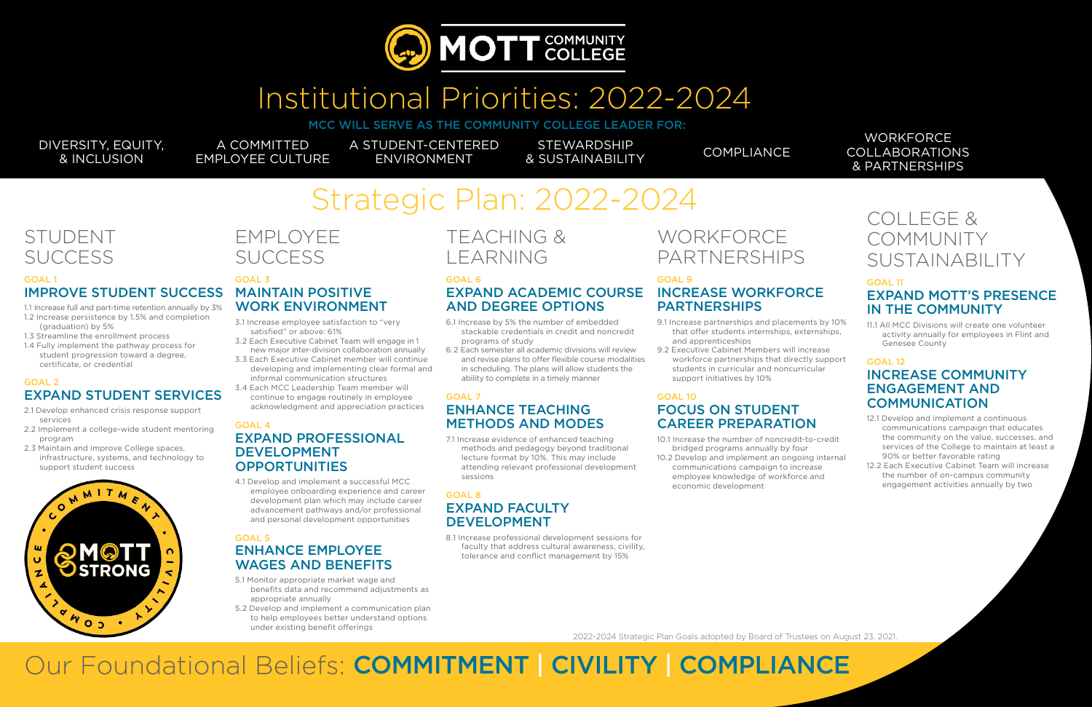

## Institutional Priorities: 2022-2024

MCC WILL SERVE AS THE COMMUNITY COLLEGE LEADER FOR:

DIVERSITY, EQUITY, & INCLUSION

#### **WORKFORCE** COLLABORATIONS & PARTNERSHIPS

A COMMITTED EMPLOYEE CULTURE

## STUDENT **SUCCESS**

A STUDENT-CENTERED ENVIRONMENT

**STEWARDSHIP & SUSTAINABILITY** COMPLIANCE

# Strategic Plan: 2022-2024

#### GOAL 1 IMPROVE STUDENT SUCCESS

## EMPLOYEE **SUCCESS**

- 1.1 Increase full and part-time retention annually by 3% 1.2 Increase persistence by 1.5% and completion
- (graduation) by 5% 1.3 Streamline the enrollment process
- 1.4 Fully implement the pathway process for student progression toward a degree, certificate, or credential

#### GOAL 2 EXPAND STUDENT SERVICES

#### GOAL 4 EXPAND PROFESSIONAL DEVELOPMENT **OPPORTUNITIES**

- 2.1 Develop enhanced crisis response support services
- 2.2 Implement a college-wide student mentoring program
- 2.3 Maintain and improve College spaces, infrastructure, systems, and technology to support student success



#### GOAL 3 MAINTAIN POSITIVE WORK ENVIRONMENT

- 3.1 Increase employee satisfaction to "very satisfied" or above: 61%
- 3.2 Each Executive Cabinet Team will engage in 1 new major inter-division collaboration annually
- 3.3 Each Executive Cabinet member will continue developing and implementing clear formal and informal communication structures
- 3.4 Each MCC Leadership Team member will continue to engage routinely in employee acknowledgment and appreciation practices

## **WORKFORCE** PARTNERSHIPS

4.1 Develop and implement a successful MCC employee onboarding experience and career development plan which may include career advancement pathways and/or professional and personal development opportunities

#### GOAL 5 ENHANCE EMPLOYEE WAGES AND BENEFITS

#### GOAL 12 INCREASE COMMUNITY ENGAGEMENT AND **COMMUNICATION**

- 5.1 Monitor appropriate market wage and benefits data and recommend adjustments as appropriate annually
- 5.2 Develop and implement a communication plan to help employees better understand options under existing benefit offerings

## TEACHING & LEARNING

#### GOAL 6

## EXPAND ACADEMIC COURSE AND DEGREE OPTIONS

- 6.1 Increase by 5% the number of embedded stackable credentials in credit and noncredit programs of study
- 6.2 Each semester all academic divisions will review and revise plans to offer flexible course modalities in scheduling. The plans will allow students the ability to complete in a timely manner

#### GOAL 7 ENHANCE TEACHING METHODS AND MODES

7.1 Increase evidence of enhanced teaching methods and pedagogy beyond traditional lecture format by 10%. This may include attending relevant professional development sessions

#### GOAL 8 EXPAND FACULTY DEVELOPMENT

8.1 Increase professional development sessions for faculty that address cultural awareness, civility, tolerance and conflict management by 15%

#### GOAL 9

### INCREASE WORKFORCE PARTNERSHIPS

- 9.1 Increase partnerships and placements by 10% that offer students internships, externships, and apprenticeships
- 9.2 Executive Cabinet Members will increase workforce partnerships that directly support students in curricular and noncurricular support initiatives by 10%

#### GOAL 10 FOCUS ON STUDENT CAREER PREPARATION

- 10.1 Increase the number of noncredit-to-credit bridged programs annually by four
- 10.2 Develop and implement an ongoing internal communications campaign to increase employee knowledge of workforce and economic development

## COLLEGE & COMMUNITY SUSTAINABILITY

#### GOAL 11 EXPAND MOTT'S PRESENCE IN THE COMMUNITY

11.1 All MCC Divisions will create one volunteer activity annually for employees in Flint and Genesee County

- 12.1 Develop and implement a continuous communications campaign that educates the community on the value, successes, and services of the College to maintain at least a 90% or better favorable rating
- 12.2 Each Executive Cabinet Team will increase the number of on-campus community engagement activities annually by two



Our Foundational Beliefs: COMMITMENT | CIVILITY | COMPLIANCE

2022-2024 Strategic Plan Goals adopted by Board of Trustees on August 23, 2021.